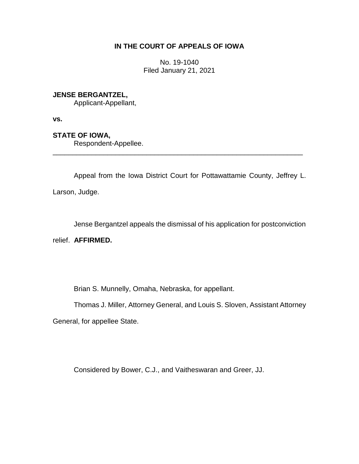## **IN THE COURT OF APPEALS OF IOWA**

No. 19-1040 Filed January 21, 2021

## **JENSE BERGANTZEL,**

Applicant-Appellant,

**vs.**

## **STATE OF IOWA,**

Respondent-Appellee.

Appeal from the Iowa District Court for Pottawattamie County, Jeffrey L. Larson, Judge.

\_\_\_\_\_\_\_\_\_\_\_\_\_\_\_\_\_\_\_\_\_\_\_\_\_\_\_\_\_\_\_\_\_\_\_\_\_\_\_\_\_\_\_\_\_\_\_\_\_\_\_\_\_\_\_\_\_\_\_\_\_\_\_\_

Jense Bergantzel appeals the dismissal of his application for postconviction

relief. **AFFIRMED.**

Brian S. Munnelly, Omaha, Nebraska, for appellant.

Thomas J. Miller, Attorney General, and Louis S. Sloven, Assistant Attorney

General, for appellee State.

Considered by Bower, C.J., and Vaitheswaran and Greer, JJ.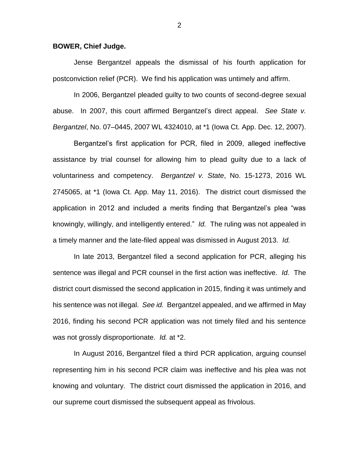## **BOWER, Chief Judge.**

Jense Bergantzel appeals the dismissal of his fourth application for postconviction relief (PCR). We find his application was untimely and affirm.

In 2006, Bergantzel pleaded guilty to two counts of second-degree sexual abuse. In 2007, this court affirmed Bergantzel's direct appeal. *See State v. Bergantzel*, No. 07–0445, 2007 WL 4324010, at \*1 (Iowa Ct. App. Dec. 12, 2007).

Bergantzel's first application for PCR, filed in 2009, alleged ineffective assistance by trial counsel for allowing him to plead guilty due to a lack of voluntariness and competency. *Bergantzel v. State*, No. 15-1273, 2016 WL 2745065, at \*1 (Iowa Ct. App. May 11, 2016). The district court dismissed the application in 2012 and included a merits finding that Bergantzel's plea "was knowingly, willingly, and intelligently entered." *Id.* The ruling was not appealed in a timely manner and the late-filed appeal was dismissed in August 2013. *Id.*

In late 2013, Bergantzel filed a second application for PCR, alleging his sentence was illegal and PCR counsel in the first action was ineffective. *Id.* The district court dismissed the second application in 2015, finding it was untimely and his sentence was not illegal. *See id.* Bergantzel appealed, and we affirmed in May 2016, finding his second PCR application was not timely filed and his sentence was not grossly disproportionate. *Id.* at \*2.

In August 2016, Bergantzel filed a third PCR application, arguing counsel representing him in his second PCR claim was ineffective and his plea was not knowing and voluntary. The district court dismissed the application in 2016, and our supreme court dismissed the subsequent appeal as frivolous.

2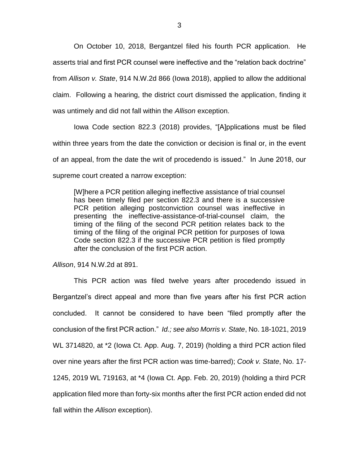On October 10, 2018, Bergantzel filed his fourth PCR application. He asserts trial and first PCR counsel were ineffective and the "relation back doctrine" from *Allison v. State*, 914 N.W.2d 866 (Iowa 2018), applied to allow the additional claim. Following a hearing, the district court dismissed the application, finding it was untimely and did not fall within the *Allison* exception.

Iowa Code section 822.3 (2018) provides, "[A]pplications must be filed within three years from the date the conviction or decision is final or, in the event of an appeal, from the date the writ of procedendo is issued." In June 2018, our supreme court created a narrow exception:

[W]here a PCR petition alleging ineffective assistance of trial counsel has been timely filed per section 822.3 and there is a successive PCR petition alleging postconviction counsel was ineffective in presenting the ineffective-assistance-of-trial-counsel claim, the timing of the filing of the second PCR petition relates back to the timing of the filing of the original PCR petition for purposes of Iowa Code section 822.3 if the successive PCR petition is filed promptly after the conclusion of the first PCR action.

*Allison*, 914 N.W.2d at 891.

This PCR action was filed twelve years after procedendo issued in Bergantzel's direct appeal and more than five years after his first PCR action concluded. It cannot be considered to have been "filed promptly after the conclusion of the first PCR action." *Id.; see also Morris v. State*, No. 18-1021, 2019 WL 3714820, at \*2 (Iowa Ct. App. Aug. 7, 2019) (holding a third PCR action filed over nine years after the first PCR action was time-barred); *Cook v. State*, No. 17- 1245, 2019 WL 719163, at \*4 (Iowa Ct. App. Feb. 20, 2019) (holding a third PCR application filed more than forty-six months after the first PCR action ended did not fall within the *Allison* exception).